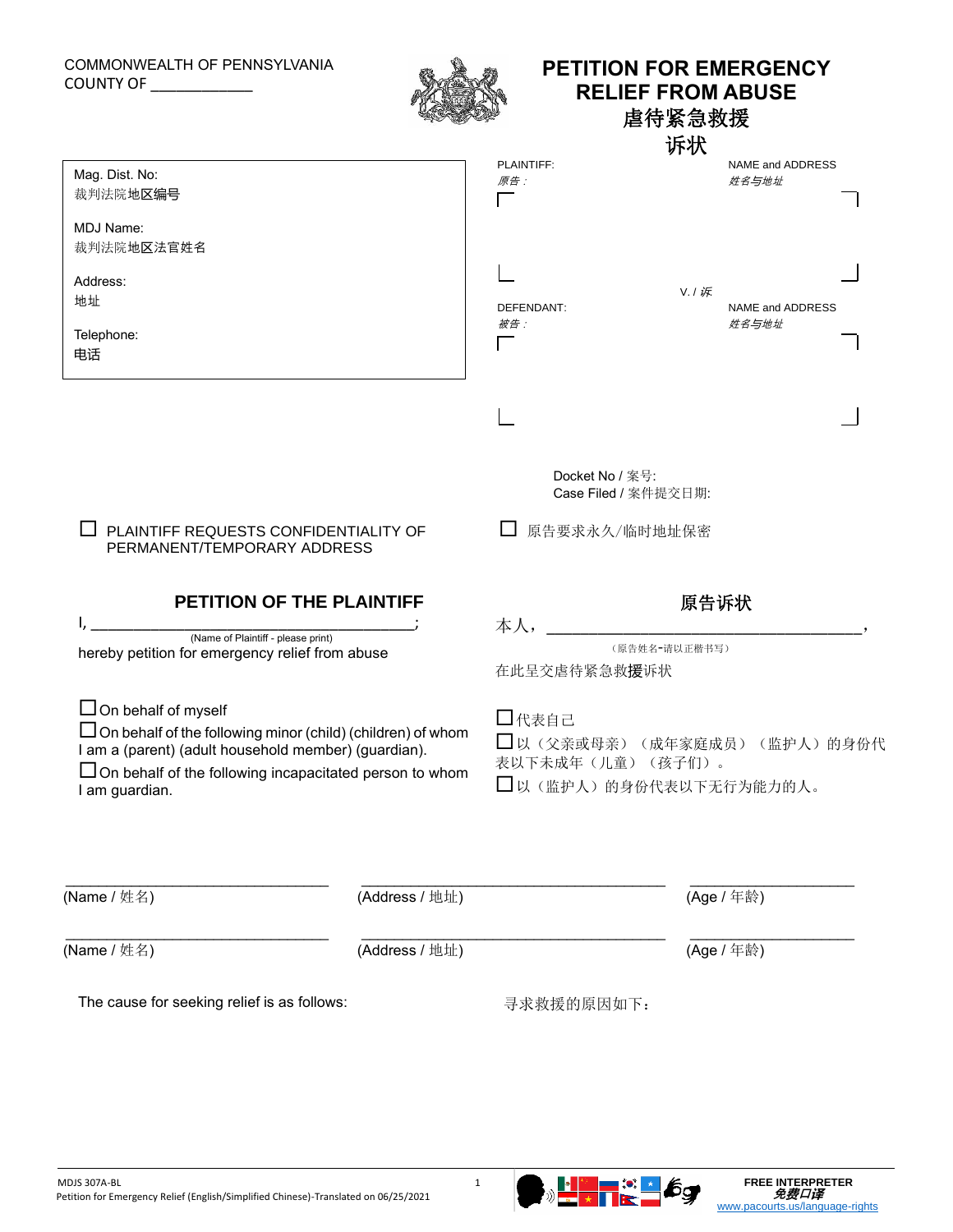## COMMONWEALTH OF PENNSYLVANIA COUNTY OF \_\_\_\_\_\_\_\_\_\_\_\_



## **PETITION FOR EMERGENCY RELIEF FROM ABUSE** 虐待紧急救援

诉状

|                                                                                                                                                                                                                                                                                                                                                                                                                                            |                |                                                                     | 诉状                                                  |  |
|--------------------------------------------------------------------------------------------------------------------------------------------------------------------------------------------------------------------------------------------------------------------------------------------------------------------------------------------------------------------------------------------------------------------------------------------|----------------|---------------------------------------------------------------------|-----------------------------------------------------|--|
| Mag. Dist. No:<br>裁判法院地区编号                                                                                                                                                                                                                                                                                                                                                                                                                 |                | PLAINTIFF:<br>原告:                                                   | NAME and ADDRESS<br>姓名与地址                           |  |
| MDJ Name:<br>裁判法院地区法官姓名<br>Address:<br>地址<br>Telephone:<br>电话                                                                                                                                                                                                                                                                                                                                                                              |                | DEFENDANT:<br>被告:                                                   | V. / 诉<br>NAME and ADDRESS<br>姓名与地址                 |  |
| PLAINTIFF REQUESTS CONFIDENTIALITY OF<br>PERMANENT/TEMPORARY ADDRESS<br>PETITION OF THE PLAINTIFF<br>(Name of Plaintiff - please print)<br>hereby petition for emergency relief from abuse<br>$\Box$ On behalf of myself<br>$\Box$ On behalf of the following minor (child) (children) of whom<br>I am a (parent) (adult household member) (guardian).<br>$\Box$ On behalf of the following incapacitated person to whom<br>I am guardian. |                | Docket No / 案号:<br>Case Filed / 案件提交日期:                             |                                                     |  |
|                                                                                                                                                                                                                                                                                                                                                                                                                                            |                | 原告要求永久/临时地址保密                                                       |                                                     |  |
|                                                                                                                                                                                                                                                                                                                                                                                                                                            |                | 在此呈交虐待紧急救援诉状<br>□代表自己<br>表以下未成年(儿童)(孩子们)。<br>□以(监护人)的身份代表以下无行为能力的人。 | 原告诉状<br>(原告姓名-请以正楷书写)<br>□以(父亲或母亲)(成年家庭成员)(监护人)的身份代 |  |
| (Name / 姓名)                                                                                                                                                                                                                                                                                                                                                                                                                                | (Address / 地址) |                                                                     | (Age / 年龄)                                          |  |
| (Name / 姓名)                                                                                                                                                                                                                                                                                                                                                                                                                                | (Address / 地址) |                                                                     | (Age / 年龄)                                          |  |
| The cause for seeking relief is as follows:                                                                                                                                                                                                                                                                                                                                                                                                |                | 寻求救援的原因如下:                                                          |                                                     |  |